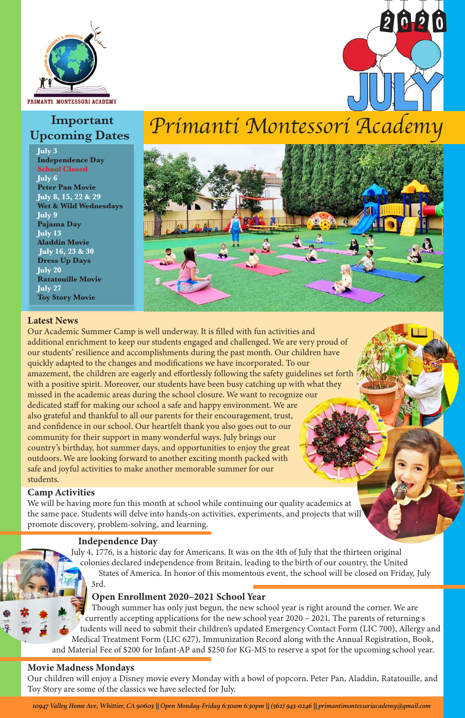

## **Important Upcoming Dates**

**July 3 Independence Day School Closed July 6 Peter Pan Movie July 8, 15, 22 & 29 Wet & Wild Wednesdays July 9 Pajama Day July 13 Aladdin Movie July 16, 23 & 30 Dress Up Days July 20 Ratatouille Movie July 27 Toy Story Movie**

#### Latest News

Our Academic Summer Camp is well underway. It is filled with fun activities and additional enrichment to keep our students engaged and challenged. We are very proud of our students' resilience and accomplishments during the past month. Our children have quickly adapted to the changes and modifications we have incorporated. To our amazement, the children are eagerly and effortlessly following the safety guidelines set forth with a positive spirit. Moreover, our students have been busy catching up with what they missed in the academic areas during the school closure. We want to recognize our dedicated staff for making our school a safe and happy environment. We are also grateful and thankful to all our parents for their encouragement, trust, and confidence in our school. Our heartfelt thank you also goes out to our community for their support in many wonderful ways. July brings our country's birthday, hot summer days, and opportunities to enjoy the great outdoors. We are looking forward to another exciting month packed with safe and joyful activities to make another memorable summer for our students.

#### Camp Activities

We will be having more fun this month at school while continuing our quality academics at the same pace. Students will delve into hands-on activities, experiments, and projects that will promote discovery, problem-solving, and learning.

2020



#### Independence Day

 July 4, 1776, is a historic day for Americans. It was on the 4th of July that the thirteen original colonies declared independence from Britain, leading to the birth of our country, the United States of America. In honor of this momentous event, the school will be closed on Friday, July 3rd.

# *Primanti Montessori Academy*

#### Open Enrollment 2020–2021 School Year

 Though summer has only just begun, the new school year is right around the corner. We are currently accepting applications for the new school year 2020 – 2021. The parents of returning s tudents will need to submit their children's updated Emergency Contact Form (LIC 700), Allergy and Medical Treatment Form (LIC 627), Immunization Record along with the Annual Registration, Book, and Material Fee of \$200 for Infant-AP and \$250 for KG-MS to reserve a spot for the upcoming school year.

#### Movie Madness Mondays

Our children will enjoy a Disney movie every Monday with a bowl of popcorn. Peter Pan, Aladdin, Ratatouille, and Toy Story are some of the classics we have selected for July.

*10947 Valley Home Ave, Whittier, CA 90603 || Open Monday-Friday 6:30am 6:30pm || (562) 943-0246 || primantimontessoriacademy@gmail.com*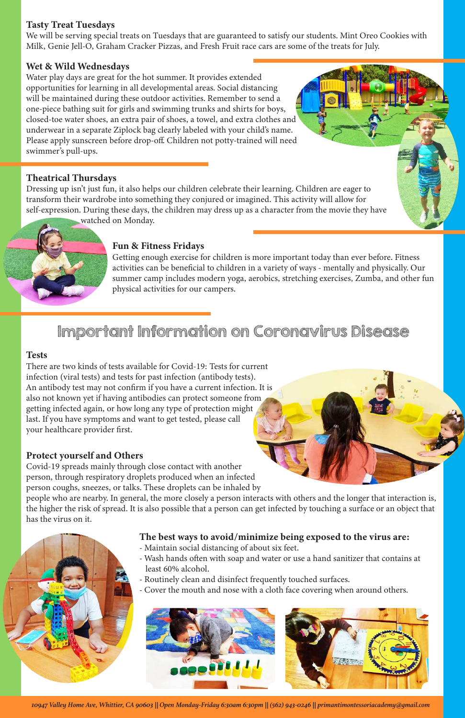#### Tasty Treat Tuesdays

We will be serving special treats on Tuesdays that are guaranteed to satisfy our students. Mint Oreo Cookies with Milk, Genie Jell-O, Graham Cracker Pizzas, and Fresh Fruit race cars are some of the treats for July.

#### Wet & Wild Wednesdays

Water play days are great for the hot summer. It provides extended opportunities for learning in all developmental areas. Social distancing will be maintained during these outdoor activities. Remember to send a one-piece bathing suit for girls and swimming trunks and shirts for boys, closed-toe water shoes, an extra pair of shoes, a towel, and extra clothes and underwear in a separate Ziplock bag clearly labeled with your child's name. Please apply sunscreen before drop-off. Children not potty-trained will need swimmer's pull-ups.

### Theatrical Thursdays

Dressing up isn't just fun, it also helps our children celebrate their learning. Children are eager to transform their wardrobe into something they conjured or imagined. This activity will allow for self-expression. During these days, the children may dress up as a character from the movie they have

watched on Monday.

#### Fun & Fitness Fridays

Getting enough exercise for children is more important today than ever before. Fitness activities can be beneficial to children in a variety of ways - mentally and physically. Our summer camp includes modern yoga, aerobics, stretching exercises, Zumba, and other fun physical activities for our campers.

## Important Information on Coronavirus Disease

#### Tests

There are two kinds of tests available for Covid-19: Tests for current infection (viral tests) and tests for past infection (antibody tests). An antibody test may not confirm if you have a current infection. It is also not known yet if having antibodies can protect someone from getting infected again, or how long any type of protection might last. If you have symptoms and want to get tested, please call your healthcare provider first.

#### Protect yourself and Others

Covid-19 spreads mainly through close contact with another person, through respiratory droplets produced when an infected person coughs, sneezes, or talks. These droplets can be inhaled by

people who are nearby. In general, the more closely a person interacts with others and the longer that interaction is, the higher the risk of spread. It is also possible that a person can get infected by touching a surface or an object that has the virus on it.



### The best ways to avoid/minimize being exposed to the virus are:

- Maintain social distancing of about six feet.
- Wash hands often with soap and water or use a hand sanitizer that contains at least 60% alcohol.
- Routinely clean and disinfect frequently touched surfaces.
- Cover the mouth and nose with a cloth face covering when around others.



*10947 Valley Home Ave, Whittier, CA 90603 || Open Monday-Friday 6:30am 6:30pm || (562) 943-0246 || primantimontessoriacademy@gmail.com*